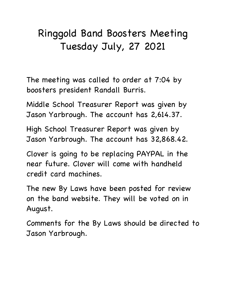## Ringgold Band Boosters Meeting Tuesday July, 27 2021

The meeting was called to order at 7:04 by boosters president Randall Burris.

Middle School Treasurer Report was given by Jason Yarbrough. The account has 2,614.37.

High School Treasurer Report was given by Jason Yarbrough. The account has 32,868.42.

Clover is going to be replacing PAYPAL in the near future. Clover will come with handheld credit card machines.

The new By Laws have been posted for review on the band website. They will be voted on in August.

Comments for the By Laws should be directed to Jason Yarbrough.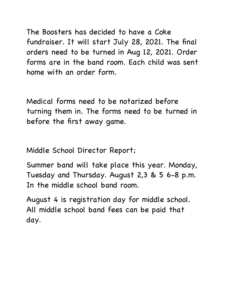The Boosters has decided to have a Coke fundraiser. It will start July 28, 2021. The final orders need to be turned in Aug 12, 2021. Order forms are in the band room. Each child was sent home with an order form.

Medical forms need to be notarized before turning them in. The forms need to be turned in before the first away game.

Middle School Director Report;

Summer band will take place this year. Monday, Tuesday and Thursday. August 2,3 & 5 6-8 p.m. In the middle school band room.

August 4 is registration day for middle school. All middle school band fees can be paid that day.